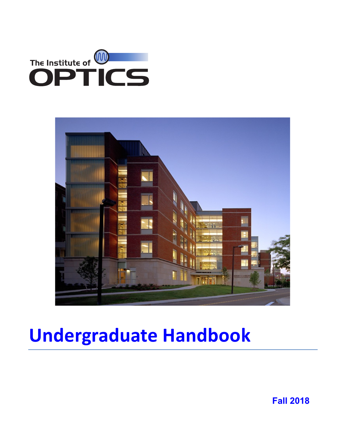



# **Undergraduate Handbook**

**Fall 2018**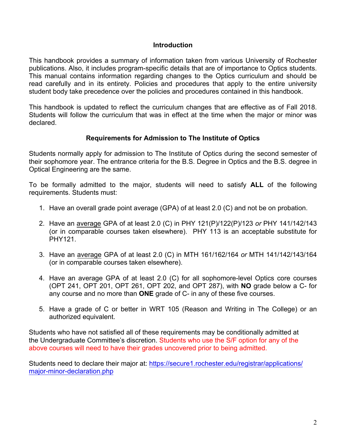#### **Introduction**

This handbook provides a summary of information taken from various University of Rochester publications. Also, it includes program-specific details that are of importance to Optics students. This manual contains information regarding changes to the Optics curriculum and should be read carefully and in its entirety. Policies and procedures that apply to the entire university student body take precedence over the policies and procedures contained in this handbook.

This handbook is updated to reflect the curriculum changes that are effective as of Fall 2018. Students will follow the curriculum that was in effect at the time when the major or minor was declared.

#### **Requirements for Admission to The Institute of Optics**

Students normally apply for admission to The Institute of Optics during the second semester of their sophomore year. The entrance criteria for the B.S. Degree in Optics and the B.S. degree in Optical Engineering are the same.

To be formally admitted to the major, students will need to satisfy **ALL** of the following requirements. Students must:

- 1. Have an overall grade point average (GPA) of at least 2.0 (C) and not be on probation.
- 2. Have an average GPA of at least 2.0 (C) in PHY 121(P)/122(P)/123 *or* PHY 141/142/143 (or in comparable courses taken elsewhere). PHY 113 is an acceptable substitute for PHY121.
- 3. Have an average GPA of at least 2.0 (C) in MTH 161/162/164 *or* MTH 141/142/143/164 (or in comparable courses taken elsewhere).
- 4. Have an average GPA of at least 2.0 (C) for all sophomore-level Optics core courses (OPT 241, OPT 201, OPT 261, OPT 202, and OPT 287), with **NO** grade below a C- for any course and no more than **ONE** grade of C- in any of these five courses.
- 5. Have a grade of C or better in WRT 105 (Reason and Writing in The College) or an authorized equivalent.

Students who have not satisfied all of these requirements may be conditionally admitted at the Undergraduate Committee's discretion. Students who use the S/F option for any of the above courses will need to have their grades uncovered prior to being admitted.

Students need to declare their major at: https://secure1.rochester.edu/registrar/applications/ major-minor-declaration.php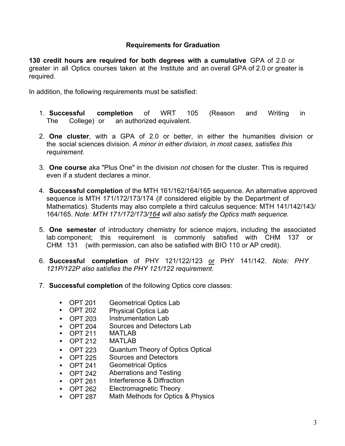# **Requirements for Graduation**

**130 credit hours are required for both degrees with a cumulative** GPA of 2.0 or greater in all Optics courses taken at the Institute and an overall GPA of 2.0 or greater is required.

In addition, the following requirements must be satisfied:

- 1. **Successful completion** of WRT 105 (Reason and Writing in The College) or an authorized equivalent.
- 2. **One cluster**, with a GPA of 2.0 or better, in either the humanities division or the social sciences division. *A minor in either division, in most cases, satisfies this requirement.*
- 3. **One course** aka "Plus One" in the division *not* chosen for the cluster. This is required even if a student declares a minor.
- 4. **Successful completion** of the MTH 161/162/164/165 sequence. An alternative approved sequence is MTH 171/172/173/174 (if considered eligible by the Department of Mathematics). Students may also complete a third calculus sequence: MTH 141/142/143/ 164/165. *Note: MTH 171/172/173/164 will also satisfy the Optics math sequence.*
- 5. **One semester** of introductory chemistry for science majors, including the associated lab component; this requirement is commonly satisfied with CHM 137 or CHM 131 (with permission, can also be satisfied with BIO 110 or AP credit).
- 6. **Successful completion** of PHY 121/122/123 or PHY 141/142. *Note: PHY 121P/122P also satisfies the PHY 121/122 requirement.*
- 7. **Successful completion** of the following Optics core classes:
	- OPT 201 Geometrical Optics Lab
	- OPT 202 Physical Optics Lab
	- OPT 203 Instrumentation Lab
	- OPT 204 Sources and Detectors Lab
	- OPT 211 MATI AR
	- OPT 212 MATLAB
	- OPT 223 Quantum Theory of Optics Optical
	- $\bullet$  OPT 225 Sources and Detectors
	- OPT 241 Geometrical Optics
	- OPT 242 Aberrations and Testing
	- OPT 261 Interference & Diffraction
	- OPT 262 Electromagnetic Theory
	- OPT 287 Math Methods for Optics & Physics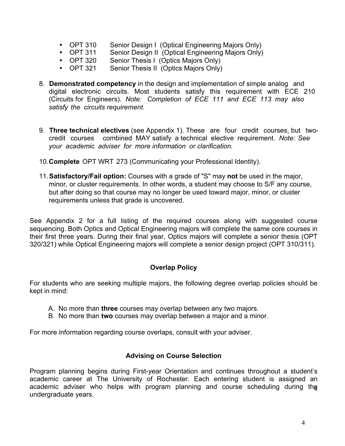- OPT 310 Senior Design I (Optical Engineering Majors Only)
- OPT 311 Senior Design II (Optical Engineering Majors Only)
- OPT 320 Senior Thesis I (Optics Majors Only)
- OPT 321 Senior Thesis II (Optics Majors Only)
- 8. **Demonstrated competency** in the design and implementation of simple analog and digital electronic circuits. Most students satisfy this requirement with ECE 210 (Circuits for Engineers). *Note: Completion of ECE 111 and ECE 113 may also satisfy the circuits requirement.*
- 9. **Three technical electives** (see Appendix 1). These are four credit courses, but twocredit courses combined MAY satisfy a technical elective requirement. *Note: See your academic adviser for more information or clarification.*
- 10.**Complete** OPT WRT 273 (Communicating your Professional Identity).
- 11.**Satisfactory/Fail option:** Courses with a grade of "S" may **not** be used in the major, minor, or cluster requirements. In other words, a student may choose to S/F any course, but after doing so that course may no longer be used toward major, minor, or cluster requirements unless that grade is uncovered.

See Appendix 2 for a full listing of the required courses along with suggested course sequencing. Both Optics and Optical Engineering majors will complete the same core courses in their first three years. During their final year, Optics majors will complete a senior thesis (OPT 320/321) while Optical Engineering majors will complete a senior design project (OPT 310/311).

#### **Overlap Policy**

For students who are seeking multiple majors, the following degree overlap policies should be kept in mind:

- A. No more than **three** courses may overlap between any two majors.
- B. No more than **two** courses may overlap between a major and a minor.

For more information regarding course overlaps, consult with your adviser.

#### **Advising on Course Selection**

Program planning begins during First-year Orientation and continues throughout a student's academic career at The University of Rochester. Each entering student is assigned an academic adviser who helps with program planning and course scheduling during the undergraduate years.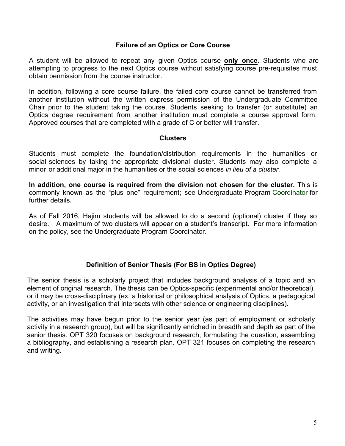## **Failure of an Optics or Core Course**

A student will be allowed to repeat any given Optics course **only once**. Students who are attempting to progress to the next Optics course without satisfying course pre-requisites must obtain permission from the course instructor.

In addition, following a core course failure, the failed core course cannot be transferred from another institution without the written express permission of the Undergraduate Committee Chair prior to the student taking the course. Students seeking to transfer (or substitute) an Optics degree requirement from another institution must complete a course approval form. Approved courses that are completed with a grade of C or better will transfer.

#### **Clusters**

Students must complete the foundation/distribution requirements in the humanities or social sciences by taking the appropriate divisional cluster. Students may also complete a minor or additional major in the humanities or the social sciences *in lieu of a cluster.* 

**In addition, one course is required from the division not chosen for the cluster.** This is commonly known as the "plus one" requirement; see Undergraduate Program Coordinator for further details.

As of Fall 2016, Hajim students will be allowed to do a second (optional) cluster if they so desire. A maximum of two clusters will appear on a student's transcript. For more information on the policy, see the Undergraduate Program Coordinator.

# **Definition of Senior Thesis (For BS in Optics Degree)**

The senior thesis is a scholarly project that includes background analysis of a topic and an element of original research. The thesis can be Optics-specific (experimental and/or theoretical), or it may be cross-disciplinary (ex. a historical or philosophical analysis of Optics, a pedagogical activity, or an investigation that intersects with other science or engineering disciplines).

The activities may have begun prior to the senior year (as part of employment or scholarly activity in a research group), but will be significantly enriched in breadth and depth as part of the senior thesis. OPT 320 focuses on background research, formulating the question, assembling a bibliography, and establishing a research plan. OPT 321 focuses on completing the research and writing.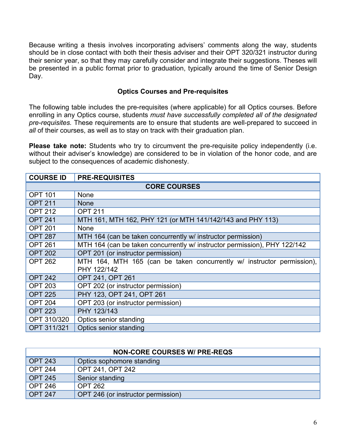Because writing a thesis involves incorporating advisers' comments along the way, students should be in close contact with both their thesis adviser and their OPT 320/321 instructor during their senior year, so that they may carefully consider and integrate their suggestions. Theses will be presented in a public format prior to graduation, typically around the time of Senior Design Day.

## **Optics Courses and Pre-requisites**

The following table includes the pre-requisites (where applicable) for all Optics courses. Before enrolling in any Optics course, students *must have successfully completed all of the designated pre-requisites.* These requirements are to ensure that students are well-prepared to succeed in all of their courses, as well as to stay on track with their graduation plan.

Please take note: Students who try to circumvent the pre-requisite policy independently (i.e. without their adviser's knowledge) are considered to be in violation of the honor code, and are subject to the consequences of academic dishonesty.

| <b>COURSE ID</b>    | <b>PRE-REQUISITES</b>                                                     |  |  |  |
|---------------------|---------------------------------------------------------------------------|--|--|--|
| <b>CORE COURSES</b> |                                                                           |  |  |  |
| <b>OPT 101</b>      | None                                                                      |  |  |  |
| <b>OPT 211</b>      | <b>None</b>                                                               |  |  |  |
| <b>OPT 212</b>      | <b>OPT 211</b>                                                            |  |  |  |
| <b>OPT 241</b>      | MTH 161, MTH 162, PHY 121 (or MTH 141/142/143 and PHY 113)                |  |  |  |
| <b>OPT 201</b>      | None                                                                      |  |  |  |
| <b>OPT 287</b>      | MTH 164 (can be taken concurrently w/ instructor permission)              |  |  |  |
| <b>OPT 261</b>      | MTH 164 (can be taken concurrently w/ instructor permission), PHY 122/142 |  |  |  |
| <b>OPT 202</b>      | OPT 201 (or instructor permission)                                        |  |  |  |
| <b>OPT 262</b>      | MTH 164, MTH 165 (can be taken concurrently w/ instructor permission),    |  |  |  |
|                     | PHY 122/142                                                               |  |  |  |
| <b>OPT 242</b>      | OPT 241, OPT 261                                                          |  |  |  |
| <b>OPT 203</b>      | OPT 202 (or instructor permission)                                        |  |  |  |
| <b>OPT 225</b>      | PHY 123, OPT 241, OPT 261                                                 |  |  |  |
| <b>OPT 204</b>      | OPT 203 (or instructor permission)                                        |  |  |  |
| <b>OPT 223</b>      | PHY 123/143                                                               |  |  |  |
| OPT 310/320         | Optics senior standing                                                    |  |  |  |
| OPT 311/321         | Optics senior standing                                                    |  |  |  |

| <b>NON-CORE COURSES W/ PRE-REQS</b> |                                    |  |  |
|-------------------------------------|------------------------------------|--|--|
| <b>OPT 243</b>                      | Optics sophomore standing          |  |  |
| <b>OPT 244</b>                      | OPT 241, OPT 242                   |  |  |
| <b>OPT 245</b>                      | Senior standing                    |  |  |
| <b>OPT 246</b>                      | <b>OPT 262</b>                     |  |  |
| <b>OPT 247</b>                      | OPT 246 (or instructor permission) |  |  |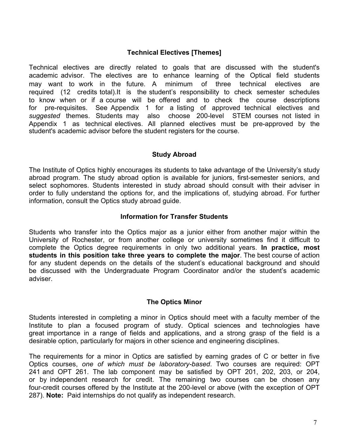# **Technical Electives [Themes]**

Technical electives are directly related to goals that are discussed with the student's academic advisor. The electives are to enhance learning of the Optical field students may want to work in the future. A minimum of three technical electives are required (12 credits total).It is the student's responsibility to check semester schedules to know when or if a course will be offered and to check the course descriptions for pre-requisites. See Appendix 1 for a listing of approved technical electives and *suggested* themes. Students may also choose 200-level STEM courses not listed in Appendix 1 as technical electives. All planned electives must be pre-approved by the student's academic advisor before the student registers for the course.

#### **Study Abroad**

The Institute of Optics highly encourages its students to take advantage of the University's study abroad program. The study abroad option is available for juniors, first-semester seniors, and select sophomores. Students interested in study abroad should consult with their adviser in order to fully understand the options for, and the implications of, studying abroad. For further information, consult the Optics study abroad guide.

#### **Information for Transfer Students**

Students who transfer into the Optics major as a junior either from another major within the University of Rochester, or from another college or university sometimes find it difficult to complete the Optics degree requirements in only two additional years. **In practice, most students in this position take three years to complete the major**. The best course of action for any student depends on the details of the student's educational background and should be discussed with the Undergraduate Program Coordinator and/or the student's academic adviser.

#### **The Optics Minor**

Students interested in completing a minor in Optics should meet with a faculty member of the Institute to plan a focused program of study. Optical sciences and technologies have great importance in a range of fields and applications, and a strong grasp of the field is a desirable option, particularly for majors in other science and engineering disciplines.

The requirements for a minor in Optics are satisfied by earning grades of C or better in five Optics courses, *one of which must be laboratory-based*. Two courses are required: OPT 241 and OPT 261. The lab component may be satisfied by OPT 201, 202, 203, or 204, or by independent research for credit. The remaining two courses can be chosen any four-credit courses offered by the Institute at the 200-level or above (with the exception of OPT 287). **Note:** Paid internships do not qualify as independent research.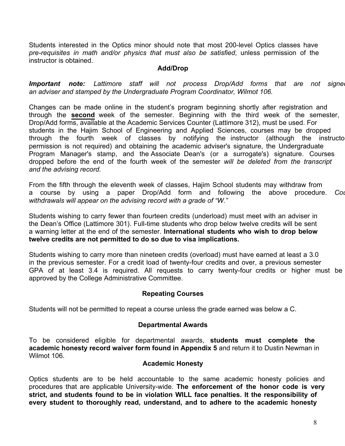Students interested in the Optics minor should note that most 200-level Optics classes have *pre-requisites in math and/or physics that must also be satisfied*, unless permission of the instructor is obtained.

## **Add/Drop**

**Important note:** Lattimore staff will not process Drop/Add forms that are not signed *an adviser and stamped by the Undergraduate Program Coordinator, Wilmot 106.*

Changes can be made online in the student's program beginning shortly after registration and through the **second** week of the semester. Beginning with the third week of the semester, Drop/Add forms, available at the Academic Services Counter (Lattimore 312), must be used. For students in the Hajim School of Engineering and Applied Sciences, courses may be dropped through the fourth week of classes by notifying the instructor (although the instructo permission is not required) and obtaining the academic adviser's signature, the Undergraduate Program Manager's stamp, and the Associate Dean's (or a surrogate's) signature. Courses dropped before the end of the fourth week of the semester *will be deleted from the transcript and the advising record.*

From the fifth through the eleventh week of classes, Hajim School students may withdraw from a course by using a paper Drop/Add form and following the above procedure. *Course withdrawals will appear on the advising record with a grade of "W."* 

Students wishing to carry fewer than fourteen credits (underload) must meet with an adviser in the Dean's Office (Lattimore 301). Full-time students who drop below twelve credits will be sent a warning letter at the end of the semester. **International students who wish to drop below twelve credits are not permitted to do so due to visa implications.**

Students wishing to carry more than nineteen credits (overload) must have earned at least a 3.0 in the previous semester. For a credit load of twenty-four credits and over, a previous semester GPA of at least 3.4 is required. All requests to carry twenty-four credits or higher must be approved by the College Administrative Committee.

# **Repeating Courses**

Students will not be permitted to repeat a course unless the grade earned was below a C.

#### **Departmental Awards**

To be considered eligible for departmental awards, **students must complete the academic honesty record waiver form found in Appendix 5** and return it to Dustin Newman in Wilmot 106.

#### **Academic Honesty**

Optics students are to be held accountable to the same academic honesty policies and procedures that are applicable University-wide. **The enforcement of the honor code is very strict, and students found to be in violation WILL face penalties. It the responsibility of every student to thoroughly read, understand, and to adhere to the academic honesty**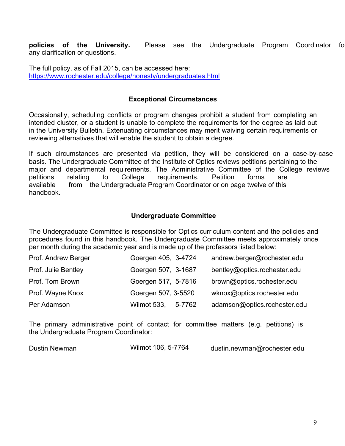**policies of the University.** Please see the Undergraduate Program Coordinator for any clarification or questions.

The full policy, as of Fall 2015, can be accessed here: https://www.rochester.edu/college/honesty/undergraduates.html

#### **Exceptional Circumstances**

Occasionally, scheduling conflicts or program changes prohibit a student from completing an intended cluster, or a student is unable to complete the requirements for the degree as laid out in the University Bulletin. Extenuating circumstances may merit waiving certain requirements or reviewing alternatives that will enable the student to obtain a degree.

If such circumstances are presented via petition, they will be considered on a case-by-case basis. The Undergraduate Committee of the Institute of Optics reviews petitions pertaining to the major and departmental requirements. The Administrative Committee of the College reviews petitions relating to College requirements. Petition forms are available from the Undergraduate Program Coordinator or on page twelve of this handbook.

#### **Undergraduate Committee**

The Undergraduate Committee is responsible for Optics curriculum content and the policies and procedures found in this handbook. The Undergraduate Committee meets approximately once per month during the academic year and is made up of the professors listed below:

| Prof. Andrew Berger | Goergen 405, 3-4724 | andrew.berger@rochester.edu  |
|---------------------|---------------------|------------------------------|
| Prof. Julie Bentley | Goergen 507, 3-1687 | bentley@optics.rochester.edu |
| Prof. Tom Brown     | Goergen 517, 5-7816 | brown@optics.rochester.edu   |
| Prof. Wayne Knox    | Goergen 507, 3-5520 | wknox@optics.rochester.edu   |
| Per Adamson         | Wilmot 533, 5-7762  | adamson@optics.rochester.edu |

The primary administrative point of contact for committee matters (e.g. petitions) is the Undergraduate Program Coordinator:

| Dustin Newman | Wilmot 106, 5-7764 | dustin.newman@rochester.edu |
|---------------|--------------------|-----------------------------|
|               |                    |                             |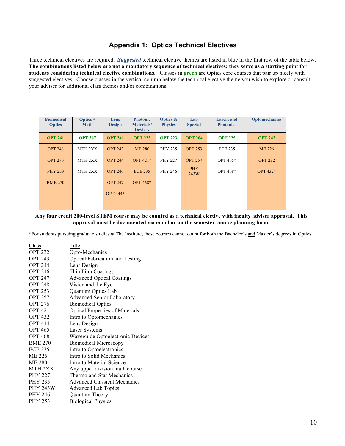## **Appendix 1: Optics Technical Electives**

Three technical electives are required. *Suggested* technical elective themes are listed in blue in the first row of the table below. **The combinations listed below are not a mandatory sequence of technical electives; they serve as a starting point for students considering technical elective combinations**. Classes in **green** are Optics core courses that pair up nicely with suggested electives. Choose classes in the vertical column below the technical elective theme you wish to explore or consult your adviser for additional class themes and/or combinations.

| <b>Biomedical</b><br><b>Optics</b> | $Optics +$<br><b>Math</b> | Lens<br><b>Design</b> | <b>Photonic</b><br><b>Materials</b> /<br><b>Devices</b> | Optics &<br><b>Physics</b> | Lab<br><b>Special</b> | <b>Lasers and</b><br><b>Photonics</b> | <b>Optomechanics</b> |
|------------------------------------|---------------------------|-----------------------|---------------------------------------------------------|----------------------------|-----------------------|---------------------------------------|----------------------|
| <b>OPT 241</b>                     | <b>OPT 287</b>            | <b>OPT 241</b>        | <b>OPT 225</b>                                          | <b>OPT 223</b>             | <b>OPT 204</b>        | <b>OPT 225</b>                        | <b>OPT 242</b>       |
| <b>OPT 248</b>                     | MTH 2XX                   | <b>OPT 243</b>        | <b>ME 280</b>                                           | <b>PHY 235</b>             | <b>OPT 253</b>        | <b>ECE 235</b>                        | ME 226               |
| <b>OPT 276</b>                     | MTH <sub>2</sub> XX       | <b>OPT 244</b>        | OPT 421*                                                | <b>PHY 227</b>             | <b>OPT 257</b>        | OPT 465*                              | <b>OPT 232</b>       |
| <b>PHY 253</b>                     | MTH <sub>2</sub> XX       | <b>OPT 246</b>        | <b>ECE 235</b>                                          | <b>PHY 246</b>             | <b>PHY</b><br>243W    | OPT 468*                              | OPT 432*             |
| <b>BME 270</b>                     |                           | <b>OPT 247</b>        | OPT 468*                                                |                            |                       |                                       |                      |
|                                    |                           | <b>OPT 444*</b>       |                                                         |                            |                       |                                       |                      |
|                                    |                           |                       |                                                         |                            |                       |                                       |                      |

#### **Any four credit 200-level STEM course may be counted as a technical elective with faculty adviser approval. This approval must be documented via email or on the semester course planning form.**

\*For students pursuing graduate studies at The Institute, these courses cannot count for both the Bachelor's and Master's degrees in Optics

| Class              | Title                                  |
|--------------------|----------------------------------------|
| <b>OPT 232</b>     | Opto-Mechanics                         |
| <b>OPT 243</b>     | <b>Optical Fabrication and Testing</b> |
| <b>OPT 244</b>     | Lens Design                            |
| <b>OPT 246</b>     | Thin Film Coatings                     |
| <b>OPT 247</b>     | <b>Advanced Optical Coatings</b>       |
| <b>OPT 248</b>     | Vision and the Eye                     |
| <b>OPT 253</b>     | Quantum Optics Lab                     |
| <b>OPT 257</b>     | <b>Advanced Senior Laboratory</b>      |
| <b>OPT 276</b>     | <b>Biomedical Optics</b>               |
| <b>OPT 421</b>     | <b>Optical Properties of Materials</b> |
| <b>OPT 432</b>     | Intro to Optomechanics                 |
| <b>OPT 444</b>     | Lens Design                            |
| <b>OPT 465</b>     | <b>Laser Systems</b>                   |
| <b>OPT 468</b>     | Waveguide Optoelectronic Devices       |
| <b>BME 270</b>     | <b>Biomedical Microscopy</b>           |
| <b>ECE 235</b>     | Intro to Optoelectronics               |
| ME 226             | Intro to Solid Mechanics               |
| <b>ME 280</b>      | Intro to Material Science              |
| MTH <sub>2XX</sub> | Any upper division math course         |
| <b>PHY 227</b>     | Thermo and Stat Mechanics              |
| <b>PHY 235</b>     | <b>Advanced Classical Mechanics</b>    |
| <b>PHY 243W</b>    | <b>Advanced Lab Topics</b>             |
| <b>PHY 246</b>     | Quantum Theory                         |
| <b>PHY 253</b>     | <b>Biological Physics</b>              |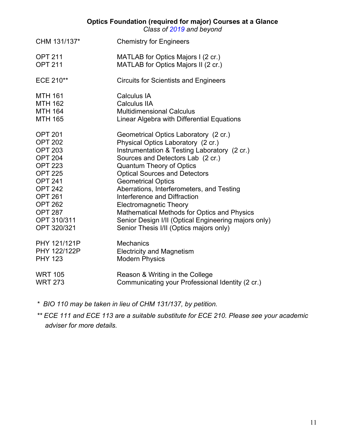#### **Optics Foundation (required for major) Courses at a Glance**

*Class of 2019 and beyond* 

| CHM 131/137*   | <b>Chemistry for Engineers</b>                       |
|----------------|------------------------------------------------------|
| <b>OPT 211</b> | MATLAB for Optics Majors I (2 cr.)                   |
| <b>OPT 211</b> | MATLAB for Optics Majors II (2 cr.)                  |
| ECE 210**      | <b>Circuits for Scientists and Engineers</b>         |
| <b>MTH 161</b> | Calculus IA                                          |
| <b>MTH 162</b> | <b>Calculus IIA</b>                                  |
| <b>MTH 164</b> | <b>Multidimensional Calculus</b>                     |
| <b>MTH 165</b> | Linear Algebra with Differential Equations           |
| <b>OPT 201</b> | Geometrical Optics Laboratory (2 cr.)                |
| <b>OPT 202</b> | Physical Optics Laboratory (2 cr.)                   |
| <b>OPT 203</b> | Instrumentation & Testing Laboratory (2 cr.)         |
| <b>OPT 204</b> | Sources and Detectors Lab (2 cr.)                    |
| <b>OPT 223</b> | <b>Quantum Theory of Optics</b>                      |
| <b>OPT 225</b> | <b>Optical Sources and Detectors</b>                 |
| <b>OPT 241</b> | <b>Geometrical Optics</b>                            |
| <b>OPT 242</b> | Aberrations, Interferometers, and Testing            |
| <b>OPT 261</b> | Interference and Diffraction                         |
| <b>OPT 262</b> | <b>Electromagnetic Theory</b>                        |
| <b>OPT 287</b> | Mathematical Methods for Optics and Physics          |
| OPT 310/311    | Senior Design I/II (Optical Engineering majors only) |
| OPT 320/321    | Senior Thesis I/II (Optics majors only)              |
| PHY 121/121P   | <b>Mechanics</b>                                     |
| PHY 122/122P   | <b>Electricity and Magnetism</b>                     |
| <b>PHY 123</b> | <b>Modern Physics</b>                                |
| <b>WRT 105</b> | Reason & Writing in the College                      |
| <b>WRT 273</b> | Communicating your Professional Identity (2 cr.)     |

*\* BIO 110 may be taken in lieu of CHM 131/137, by petition.*

*\*\* ECE 111 and ECE 113 are a suitable substitute for ECE 210. Please see your academic adviser for more details.*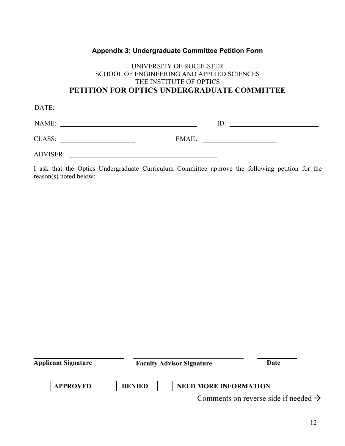# **Appendix 3: Undergraduate Committee Petition Form**

# UNIVERSITY OF ROCHESTER SCHOOL OF ENGINEERING AND APPLIED SCIENCES THE INSTITUTE OF OPTICS **PETITION FOR OPTICS UNDERGRADUATE COMMITTEE**

| DATE:           |        |
|-----------------|--------|
| NAME:           | ID:    |
| CLASS:          | EMAIL: |
| <b>ADVISER:</b> |        |

I ask that the Optics Undergraduate Curriculum Committee approve the following petition for the reason(s) noted below:

| <b>Applicant Signature</b> | <b>Faculty Advisor Signature</b> | Date                                             |
|----------------------------|----------------------------------|--------------------------------------------------|
| <b>APPROVED</b>            | <b>DENIED</b>                    | <b>NEED MORE INFORMATION</b>                     |
|                            |                                  | Comments on reverse side if needed $\rightarrow$ |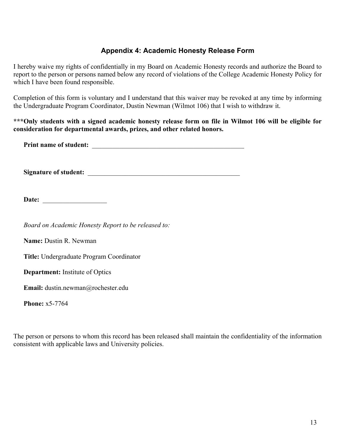# **Appendix 4: Academic Honesty Release Form**

I hereby waive my rights of confidentially in my Board on Academic Honesty records and authorize the Board to report to the person or persons named below any record of violations of the College Academic Honesty Policy for which I have been found responsible.

Completion of this form is voluntary and I understand that this waiver may be revoked at any time by informing the Undergraduate Program Coordinator, Dustin Newman (Wilmot 106) that I wish to withdraw it.

**\*\*\*Only students with a signed academic honesty release form on file in Wilmot 106 will be eligible for consideration for departmental awards, prizes, and other related honors.** 

**Print name of student:**  $\blacksquare$ 

**Signature of student:** \_\_\_\_\_\_\_\_\_\_\_\_\_\_\_\_\_\_\_\_\_\_\_\_\_\_\_\_\_\_\_\_\_\_\_\_\_\_\_\_\_\_\_\_\_

**Date:** \_\_\_\_\_\_\_\_\_\_\_\_\_\_\_\_\_\_\_

*Board on Academic Honesty Report to be released to:* 

**Name:** Dustin R. Newman

**Title:** Undergraduate Program Coordinator

**Department:** Institute of Optics

**Email:** dustin.newman@rochester.edu

**Phone:** x5-7764

The person or persons to whom this record has been released shall maintain the confidentiality of the information consistent with applicable laws and University policies.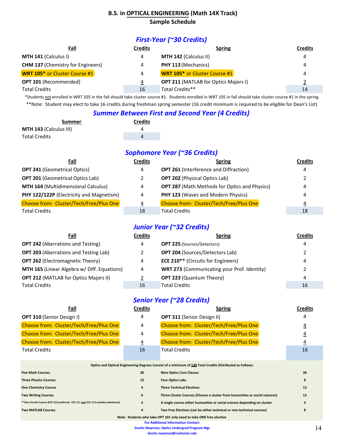#### **B.S.** in **OPTICAL ENGINEERING** (Math 14X Track) **Sample Schedule**

# *First-Year (~30 Credits)*

| Fall                                     | Credits | <b>Spring</b>                               | <b>Credits</b> |
|------------------------------------------|---------|---------------------------------------------|----------------|
| MTH 141 (Calculus I)                     | 4       | MTH 142 (Calculus II)                       | 4              |
| <b>CHM 137 (Chemistry for Engineers)</b> | 4       | PHY 113 (Mechanics)                         | 4              |
| <b>WRT 105*</b> or Cluster Course #1     | 4       | <b>WRT 105*</b> or Cluster Course #1        | 4              |
| <b>OPT 101 (Recommended)</b>             | 4       | <b>OPT 211 (MATLAB for Optics Majors I)</b> |                |
| <b>Total Credits</b>                     | 16      | Total Credits**                             | 14             |

\*Students not enrolled in WRT 105 in the fall should take cluster course #1. Students enrolled in WRT 105 in fall should take cluster course #1 in the spring. \*\*Note: Student may elect to take 16 credits during freshman spring semester (16 credit minimum is required to be eligible for Dean's List)

#### **Summer Between First and Second Year (4 Credits)**

| Summer                        | <b>Credits</b> |  |
|-------------------------------|----------------|--|
| <b>MTH 143 (Calculus III)</b> |                |  |
| <b>Total Credits</b>          |                |  |

# *Sophomore Year (~36 Credits)*

| Fall                                       | Credits  | <b>Spring</b>                                        | <b>Credits</b> |
|--------------------------------------------|----------|------------------------------------------------------|----------------|
| <b>OPT 241 (Geometrical Optics)</b>        | 4        | <b>OPT 261 (Interference and Diffraction)</b>        | 4              |
| <b>OPT 201 (Geometrical Optics Lab)</b>    |          | <b>OPT 202 (Physical Optics Lab)</b>                 |                |
| <b>MTH 164 (Multidimensional Calculus)</b> | 4        | <b>OPT 287</b> (Math Methods for Optics and Physics) | 4              |
| PHY 122/122P (Electricity and Magnetism)   | 4        | PHY 123 (Waves and Modern Physics)                   | 4              |
| Choose from: Cluster/Tech/Free/Plus One    | <u>4</u> | Choose from: Cluster/Tech/Free/Plus One              | 4              |
| <b>Total Credits</b>                       | 18       | <b>Total Credits</b>                                 | 18             |

# *Junior Year (~32 Credits)*

| <b>Credits</b><br><b>Spring</b>                         |
|---------------------------------------------------------|
| 4                                                       |
| <b>OPT 204 (Sources/Detectors Lab)</b>                  |
| <b>ECE 210**</b> (Circuits for Engineers)<br>4          |
| <b>WRT 273 (Communicating your Prof. Identity)</b><br>2 |
| <b>OPT 223 (Quantum Theory)</b><br>4                    |
| 16                                                      |
|                                                         |

# *Senior Year (~28 Credits)*

| Fall                                                                                                            | Credits        | <b>Spring</b>                           | Credits |  |
|-----------------------------------------------------------------------------------------------------------------|----------------|-----------------------------------------|---------|--|
| <b>OPT 310 (Senior Design I)</b>                                                                                | 4              | <b>OPT 311 (Senior Design II)</b>       | 4       |  |
| Choose from: Cluster/Tech/Free/Plus One                                                                         | 4              | Choose from: Cluster/Tech/Free/Plus One |         |  |
| Choose from: Cluster/Tech/Free/Plus One                                                                         | 4              | Choose from: Cluster/Tech/Free/Plus One | 4       |  |
| Choose from: Cluster/Tech/Free/Plus One                                                                         | $\overline{4}$ | Choose from: Cluster/Tech/Free/Plus One | 4       |  |
| <b>Total Credits</b>                                                                                            | 16             | <b>Total Credits</b>                    | 16      |  |
|                                                                                                                 |                |                                         |         |  |
| A di la differente a la finita di functionalista di controlle di controlle di controlle di controlle di control |                |                                         |         |  |

|                                                                                      |                | Optics and Optical Engineering Degrees Consist of a minimum of 130 Total Credits Distributed as Follows: |    |  |
|--------------------------------------------------------------------------------------|----------------|----------------------------------------------------------------------------------------------------------|----|--|
| <b>Five Math Courses</b>                                                             | 20             | <b>Nine Optics Core Classes</b>                                                                          | 36 |  |
| <b>Three Physics Courses</b>                                                         | 12             | <b>Four Optics Labs</b>                                                                                  | 8  |  |
| <b>One Chemistry Course</b>                                                          | $\overline{a}$ | <b>Three Technical Electives</b>                                                                         | 12 |  |
| <b>Two Writing Courses</b>                                                           | 6              | Three Cluster Courses (Choose a cluster from humanities or social sciences)                              | 12 |  |
| ** One Circuits Course (ECE 210 preferred, ECE 111 and ECE 113 suitable substitutes) | $\overline{a}$ | A single course either humanities or social science depending on cluster                                 |    |  |
| <b>Two MATLAB Courses</b>                                                            | $\overline{4}$ | Two Free Electives (can be either technical or non-technical courses)                                    | 8  |  |
| Nata: Chidante urba talce ODT 101 anticussal to talce ONE fues alsotive              |                |                                                                                                          |    |  |

#### Note: Students who take OPT 101 only need to take ONE free elective

**For Additional Information Contact:** 

**Dustin Newman, Optics Undergrad Program Mgr**